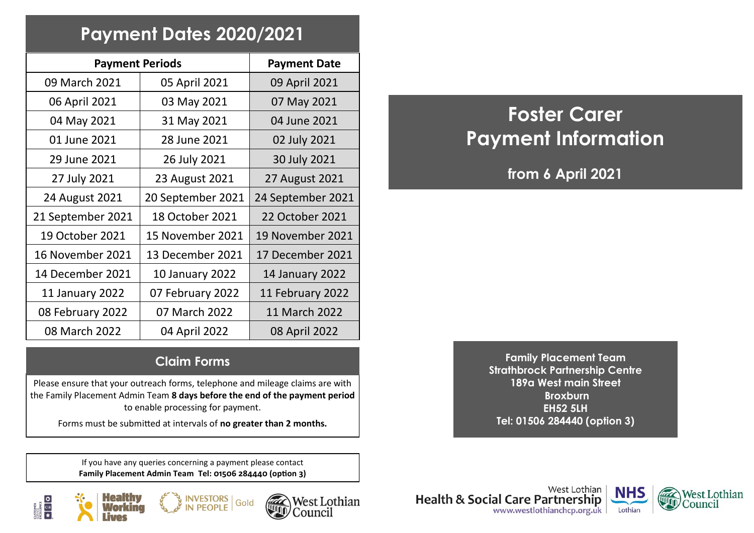## **Payment Dates 2020/2021**

| <b>Payment Periods</b> | <b>Payment Date</b> |                        |
|------------------------|---------------------|------------------------|
| 09 March 2021          | 05 April 2021       | 09 April 2021          |
| 06 April 2021          | 03 May 2021         | 07 May 2021            |
| 04 May 2021            | 31 May 2021         | 04 June 2021           |
| 01 June 2021           | 28 June 2021        | 02 July 2021           |
| 29 June 2021           | 26 July 2021        | 30 July 2021           |
| 27 July 2021           | 23 August 2021      | 27 August 2021         |
| 24 August 2021         | 20 September 2021   | 24 September 2021      |
| 21 September 2021      | 18 October 2021     | 22 October 2021        |
| 19 October 2021        | 15 November 2021    | 19 November 2021       |
| 16 November 2021       | 13 December 2021    | 17 December 2021       |
| 14 December 2021       | 10 January 2022     | <b>14 January 2022</b> |
| 11 January 2022        | 07 February 2022    | 11 February 2022       |
| 08 February 2022       | 07 March 2022       | 11 March 2022          |
| 08 March 2022          | 04 April 2022       | 08 April 2022          |

# **Foster Carer Payment Information**

**from 6 April 2021**

#### **Claim Forms**

Please ensure that your outreach forms, telephone and mileage claims are with the Family Placement Admin Team **8 days before the end of the payment period**  to enable processing for payment.

Forms must be submitted at intervals of **no greater than 2 months.**

If you have any queries concerning a payment please contact **Family Placement Admin Team Tel: 01506 284440 (option 3)**

**VESTORS** 









**Family Placement Team Strathbrock Partnership Centre 189a West main Street Broxburn EH52 5LH Tel: 01506 284440 (option 3)**

West Lothian **Health & Social Care Partnership** www.westlothianchcp.org.uk